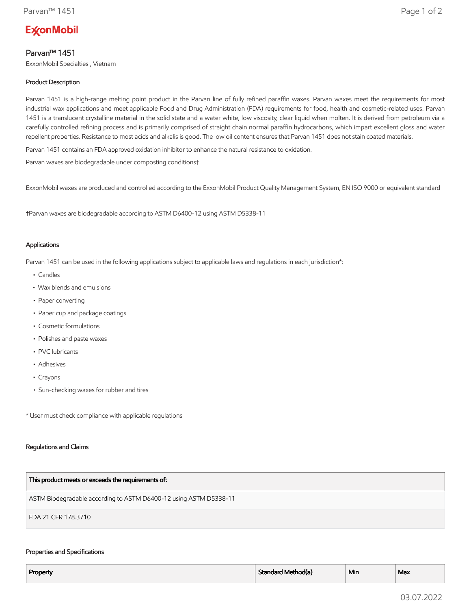# **ExconMobil**

# Parvan™ 1451

ExxonMobil Specialties , Vietnam

# Product Description

Parvan 1451 is a high-range melting point product in the Parvan line of fully refined paraffin waxes. Parvan waxes meet the requirements for most industrial wax applications and meet applicable Food and Drug Administration (FDA) requirements for food, health and cosmetic-related uses. Parvan 1451 is a translucent crystalline material in the solid state and a water white, low viscosity, clear liquid when molten. It is derived from petroleum via a carefully controlled refining process and is primarily comprised of straight chain normal paraffin hydrocarbons, which impart excellent gloss and water repellent properties. Resistance to most acids and alkalis is good. The low oil content ensures that Parvan 1451 does not stain coated materials.

Parvan 1451 contains an FDA approved oxidation inhibitor to enhance the natural resistance to oxidation.

Parvan waxes are biodegradable under composting conditions†

ExxonMobil waxes are produced and controlled according to the ExxonMobil Product Quality Management System, EN ISO 9000 or equivalent standard

†Parvan waxes are biodegradable according to ASTM D6400-12 using ASTM D5338-11

## Applications

Parvan 1451 can be used in the following applications subject to applicable laws and regulations in each jurisdiction\*:

- Candles
- Wax blends and emulsions
- Paper converting
- Paper cup and package coatings
- Cosmetic formulations
- Polishes and paste waxes
- PVC lubricants
- Adhesives
- Crayons
- Sun-checking waxes for rubber and tires

\* User must check compliance with applicable regulations

## Regulations and Claims

| This product meets or exceeds the requirements of:                |
|-------------------------------------------------------------------|
| ASTM Biodegradable according to ASTM D6400-12 using ASTM D5338-11 |
| FDA 21 CFR 178.3710                                               |

## Properties and Specifications

| Property | $\mathbf{r}$<br>Standard Method(a) | --<br>Min | Max |
|----------|------------------------------------|-----------|-----|
|          |                                    |           |     |